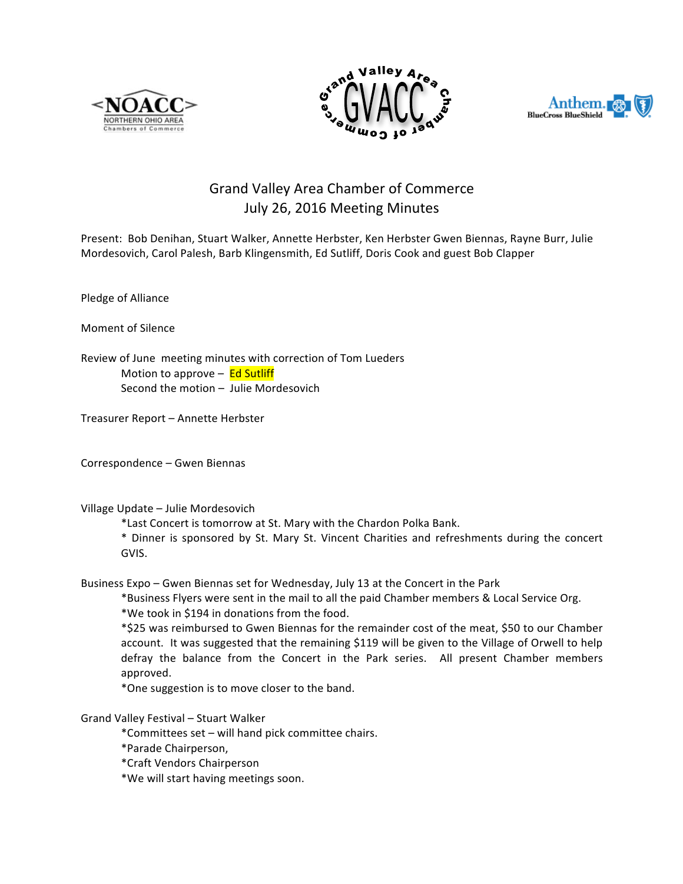





# Grand Valley Area Chamber of Commerce July 26, 2016 Meeting Minutes

Present: Bob Denihan, Stuart Walker, Annette Herbster, Ken Herbster Gwen Biennas, Rayne Burr, Julie Mordesovich, Carol Palesh, Barb Klingensmith, Ed Sutliff, Doris Cook and guest Bob Clapper

Pledge of Alliance

Moment of Silence

Review of June meeting minutes with correction of Tom Lueders Motion to approve  $-$  Ed Sutliff Second the motion  $-$  Julie Mordesovich

Treasurer Report - Annette Herbster

Correspondence - Gwen Biennas

Village Update - Julie Mordesovich

\*Last Concert is tomorrow at St. Mary with the Chardon Polka Bank.

\* Dinner is sponsored by St. Mary St. Vincent Charities and refreshments during the concert GVIS.

Business Expo – Gwen Biennas set for Wednesday, July 13 at the Concert in the Park

\*Business Flyers were sent in the mail to all the paid Chamber members & Local Service Org.

\*We took in \$194 in donations from the food.

\*\$25 was reimbursed to Gwen Biennas for the remainder cost of the meat, \$50 to our Chamber account. It was suggested that the remaining \$119 will be given to the Village of Orwell to help defray the balance from the Concert in the Park series. All present Chamber members approved.

\*One suggestion is to move closer to the band.

Grand Valley Festival - Stuart Walker

\*Committees set – will hand pick committee chairs.

\*Parade Chairperson, 

\*Craft Vendors Chairperson

\*We will start having meetings soon.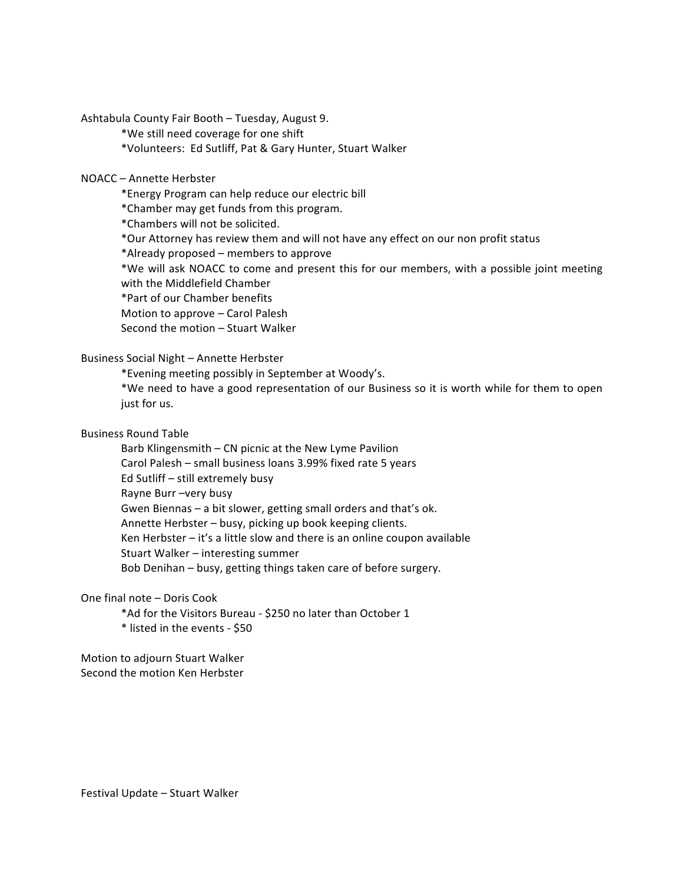Ashtabula County Fair Booth - Tuesday, August 9.

\*We still need coverage for one shift

\*Volunteers: Ed Sutliff, Pat & Gary Hunter, Stuart Walker

## NOACC – Annette Herbster

\*Energy Program can help reduce our electric bill

\*Chamber may get funds from this program.

\*Chambers will not be solicited.

\*Our Attorney has review them and will not have any effect on our non profit status

\*Already proposed – members to approve

\*We will ask NOACC to come and present this for our members, with a possible joint meeting with the Middlefield Chamber

\*Part of our Chamber benefits

Motion to approve - Carol Palesh

Second the motion - Stuart Walker

## Business Social Night - Annette Herbster

\*Evening meeting possibly in September at Woody's.

\*We need to have a good representation of our Business so it is worth while for them to open just for us.

#### Business Round Table

Barb Klingensmith - CN picnic at the New Lyme Pavilion Carol Palesh – small business loans 3.99% fixed rate 5 years Ed Sutliff - still extremely busy Rayne Burr -very busy Gwen Biennas - a bit slower, getting small orders and that's ok. Annette Herbster - busy, picking up book keeping clients. Ken Herbster  $-$  it's a little slow and there is an online coupon available Stuart Walker – interesting summer Bob Denihan – busy, getting things taken care of before surgery.

## One final note - Doris Cook

\*Ad for the Visitors Bureau - \$250 no later than October 1 \* listed in the events - \$50

Motion to adjourn Stuart Walker Second the motion Ken Herbster

Festival Update - Stuart Walker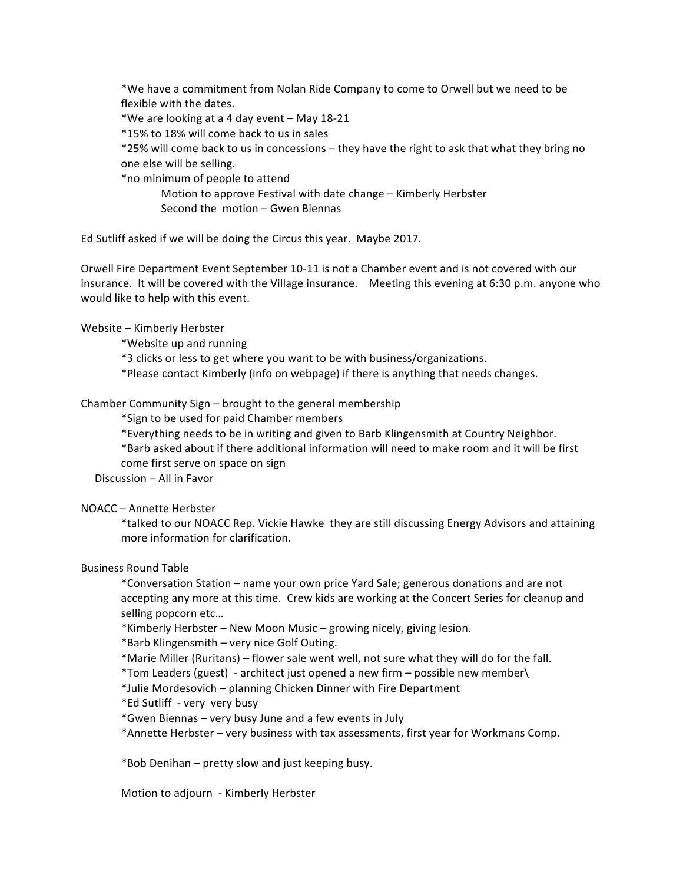\*We have a commitment from Nolan Ride Company to come to Orwell but we need to be flexible with the dates.

\*We are looking at a 4 day event – May 18-21

\*15% to 18% will come back to us in sales

\*25% will come back to us in concessions – they have the right to ask that what they bring no one else will be selling.

\*no minimum of people to attend

Motion to approve Festival with date change – Kimberly Herbster Second the  $motion - Gwen$  Biennas

Ed Sutliff asked if we will be doing the Circus this year. Maybe 2017.

Orwell Fire Department Event September 10-11 is not a Chamber event and is not covered with our insurance. It will be covered with the Village insurance. Meeting this evening at 6:30 p.m. anyone who would like to help with this event.

Website - Kimberly Herbster

\*Website up and running

\*3 clicks or less to get where you want to be with business/organizations.

\*Please contact Kimberly (info on webpage) if there is anything that needs changes.

Chamber Community Sign – brought to the general membership

\*Sign to be used for paid Chamber members

\*Everything needs to be in writing and given to Barb Klingensmith at Country Neighbor.

\*Barb asked about if there additional information will need to make room and it will be first come first serve on space on sign

Discussion - All in Favor

NOACC – Annette Herbster

\*talked to our NOACC Rep. Vickie Hawke they are still discussing Energy Advisors and attaining more information for clarification.

### Business Round Table

\*Conversation Station – name your own price Yard Sale; generous donations and are not accepting any more at this time. Crew kids are working at the Concert Series for cleanup and selling popcorn etc...

\*Kimberly Herbster – New Moon Music – growing nicely, giving lesion.

\*Barb Klingensmith – very nice Golf Outing.

\*Marie Miller (Ruritans) – flower sale went well, not sure what they will do for the fall.

\*Tom Leaders (guest) - architect just opened a new firm - possible new member\

\*Julie Mordesovich – planning Chicken Dinner with Fire Department

\*Ed Sutliff - very very busy

\*Gwen Biennas – very busy June and a few events in July

\*Annette Herbster - very business with tax assessments, first year for Workmans Comp.

 $*$ Bob Denihan – pretty slow and just keeping busy.

Motion to adjourn - Kimberly Herbster